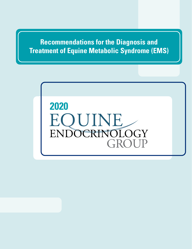**Recommendations for the Diagnosis and Treatment of Equine Metabolic Syndrome (EMS)**

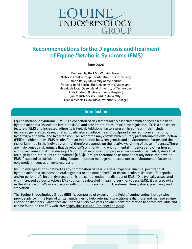### **Recommendations for the Diagnosis and Treatment of Equine Metabolic Syndrome (EMS)**

June 2020

Prepared by the EMS Working Group Nicholas Frank (Group Coordinator; Tufts University) Simon Bailey (University of Melbourne) François-René Bertin (The University of Queensland) Melody de Laat (Queensland University of Technology) Andy Durham (Liphook Equine Hospital) Janice Kritchevsky (Purdue University) Nicola Menzies-Gow (Royal Veterinary College)

### **Introduction**

Equine metabolic syndrome (**EMS**) is a collection of risk factors highly associated with an increased risk of hyperinsulinemia-associated laminitis (**HAL**) and other morbidities. Insulin dysregulation (**ID**) is a consistent feature of EMS and increased adiposity is typical. Additional factors present in some animals include increased generalized or regional adiposity, altered adipokine and postprandial incretin concentrations, hypertriglyceridemia, and hypertension. The syndrome may coexist with pituitary pars intermedia dysfunction (**PPID**) in older horses. EMS results from an interaction between genetic and environmental factors and the risk of laminitis in the individual animal therefore depends on the relative weighting of these influences. There are high-genetic risk animals that develop EMS with only mild environmental influences and other horses with lower genetic risk that develop EMS through exposure to improper environments (particularly diets that are high in non-structural carbohydrates [**NSC**]). It might therefore be assumed that any horse can develop EMS if exposed to sufficient inciting factors: improper management, exposure to environmental factors or epigenetic influences on gene expression.

Insulin dysregulation is defined as any combination of basal (resting) hyperinsulinemia, postprandial hyperinsulinemia (response to oral sugar test or consumed feeds), or tissue insulin resistance (**IR**; hepatic and/or peripheral). Insulin dysregulation is the central endocrine disorder of EMS. ID is typically associated with increased adiposity (obese EMS) but can be detected in lean horses (non-obese EMS). It can also exist in the absence of EMS in association with conditions such as PPID, systemic illness, stress, pregnancy and starvation.

The Equine Endocrinology Group (**EEG**) is composed of experts in the field of equine endocrinology who provide advice in the form of written guidelines to help veterinary practitioners diagnose and manage equine endocrine disorders. Guidelines are updated every two years or when new information becomes available and can be found on the EEG web site: <http://sites.tufts.edu/equineendogroup>.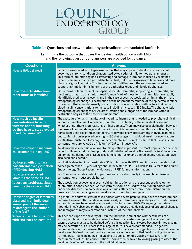### **Table 1 – Questions and answers about hyperinsulinemia-associated laminitis**

Laminitis is the outcome that poses the greatest health concern with EMS and the following questions and answers are provided for guidance:

| <b>Questions</b>                                                                                                                    | <b>Answers</b>                                                                                                                                                                                                                                                                                                                                                                                                                                                                                                                                                                                                                                                                                                                                                                                                                       |
|-------------------------------------------------------------------------------------------------------------------------------------|--------------------------------------------------------------------------------------------------------------------------------------------------------------------------------------------------------------------------------------------------------------------------------------------------------------------------------------------------------------------------------------------------------------------------------------------------------------------------------------------------------------------------------------------------------------------------------------------------------------------------------------------------------------------------------------------------------------------------------------------------------------------------------------------------------------------------------------|
| <b>How is HAL defined?</b>                                                                                                          | Laminitis associated with hyperinsulinemia that may appear to develop insidiously but<br>becomes a chronic condition characterized by episodes of mild to moderate lameness.<br>This form of laminitis begins as stretching and damage to laminae induced by sustained<br>hyperinsulinemia that can go undetected at first, but then progresses to lameness and more<br>classical signs of laminitis. This form of laminitis differs from the sepsis-associated and<br>supporting-limb laminitis in terms of the pathophysiology and histologic changes.                                                                                                                                                                                                                                                                             |
| <b>How does HAL differ from</b><br>other forms of laminitis?                                                                        | Other forms of laminitis include sepsis-associated laminitis, supporting limb laminitis, and<br>mechanical/traumatic laminitis ('road founder'). All of these forms of laminitis have readily<br>identifiable predisposing events and in the case of sepsis-associated laminitis, the primary<br>histopathological change is destruction of the basement membrane of the epidermal laminae.<br>In contrast, HAL episodes usually occur insidiously in association with factors that cause<br>blood insulin concentrations to increase including increased NSC intake. The characteristic<br>histopathological changes of HAL are stretching and elongation of the laminae without<br>destruction or lysis of the basement membrane.                                                                                                  |
| How much do insulin<br>concentrations have to<br>increase and for how long<br>do they have to stay elevated<br>to induce laminitis? | The exact duration and magnitude of hyperinsulinemia that is needed to precipitate clinical<br>laminitis is unclear and likely depends on the susceptibility of the individual horse and<br>whether or not there is pre-existing laminar damage. There may also be a distinction between<br>the onset of laminar damage and the point at which lameness is manifest or noticed by the<br>horse owner. The exact threshold for HAL to develop likely differs among individual animals<br>but studies of ponies placed on a high-NSC diet suggests that blood insulin concentrations<br>> 200 µU/mL sustained for 5 days <sup>1</sup> or experimental infusion of insulin so that blood insulin<br>concentrations are >1,000 µU/mL for 48-72h <sup>2</sup> can induce HAL.                                                             |
| How does hyperinsulinemia<br>cause laminitis in equids?                                                                             | We do not have a definitive answer to this question at present. The most popular theory is that<br>hyperinsulinemia induces inappropriate stimulation of insulin-like growth factor-1 receptors<br>on laminar epidermal cells. Decreased lamellar perfusion and altered energy regulation have<br>also been considered. <sup>3</sup>                                                                                                                                                                                                                                                                                                                                                                                                                                                                                                 |
| Do horses with pituitary<br>pars intermedia dysfunction<br>(PPID) develop HAL?                                                      | Yes, HAL is detected in approximately 30% of horses with PPID <sup>4</sup> and it is recommended that<br>horses greater than 10 years of age should be tested for PPID as well as ID. Refer to the Equine<br>Endocrinology Group Recommendations on PPID for more information.                                                                                                                                                                                                                                                                                                                                                                                                                                                                                                                                                       |
| Is pasture-associated<br>laminitis the same as HAL?                                                                                 | Yes. The carbohydrate content in pasture can cause abnormally increased blood insulin<br>concentrations in susceptible horses.                                                                                                                                                                                                                                                                                                                                                                                                                                                                                                                                                                                                                                                                                                       |
| Is corticosteroid-associated<br>laminitis the same as HAL?                                                                          | The association between glucocorticoid administration and the subsequent development<br>of laminitis is poorly defined. Corticosteroids should be used with caution in horses with<br>endocrine diseases. If a horse develops laminitis after corticosteroid administration, the<br>presence of an underlying endocrine disorder should be investigated.                                                                                                                                                                                                                                                                                                                                                                                                                                                                             |
| Does the degree of lameness<br>observed in an individual<br>animal predict the amount<br>of damage to the laminae<br>of the feet?   | In general, the answer is yes because horses with severe pain typically have the most łaminar<br>damage. However, HAL can develop insidiously, and laminae may undergo structural changes<br>without lameness being readily apparent ('subclinical laminitis'). Divergent growth rings<br>('founder lines') observed on the outside of the hooves provide evidence of structural changes<br>and radiographs may reveal rotation or osteitis of the third phalanx.                                                                                                                                                                                                                                                                                                                                                                    |
| When is it safe to put a horse<br>with HAL back on pasture?                                                                         | This depends upon the severity of ID in the individual animal and whether the risk of a<br>subsequent laminitis episode occurring has been successfully mitigated. The amount of<br>pasture access must also be defined before this question is answered because limited grazing<br>may be permitted but full access to a large pasture is never recommended. The general<br>recommendation is to reassess the horse by performing an oral sugar test (OST) and if negative<br>results are obtained then reintroduce pasture access in a controlled fashion using strategies<br>to limit grass intake including strip grazing or application of a grazing muzzle. Further<br>measurements of insulin concentrations should then be taken following grazing to assess the<br>insulinemic effect of the grass in the individual horse. |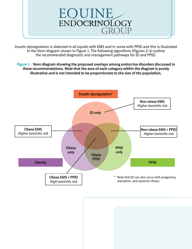

Insulin dysregulation is detected in all equids with EMS and in some with PPID and this is illustrated in the Venn diagram shown in Figure 1. The following algorithms (Figures 2-4) outline the recommended diagnostic and management pathways for ID and PPID.

**Figure 1 – Venn diagram showing the proposed overlaps among endocrine disorders discussed in these recommendations. Note that the area of each category within the diagram is purely illustrative and is not intended to be proportionate to the size of the population.**

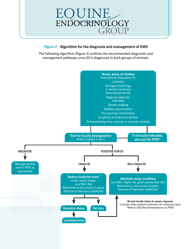

### **Figure 2 – Algorithm for the diagnosis and management of EMS**

The following algorithm (Figure 2) outlines the recommended diagnostic and management pathways once ID is diagnosed in both groups of animals.

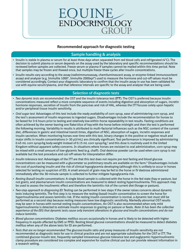### **Recommended approach for diagnostic testing**

### **Sample handling & analysis**

- Insulin is stable in plasma or serum for at least three days when separated from red blood cells and refrigerated (4°C). The decision to submit plasma or serum depends on the assay used by the laboratory and specific recommendations should be reviewed before samples are collected. Freeze serum or plasma if samples cannot be mailed within this time period. Note that samples may be frozen and thawed once, but multiple freeze-thaw cycles alter insulin concentrations.
- Insulin results vary according to the assay (radioimmunoassay, chemiluminescent assay, or enzyme-linked immunosorbent assay) and analyzer (e.g. Immulite 1000®, Immulite 2000xpi®) used to measure the hormone and cut-off values must be considered accordingly. Contact your diagnostic laboratory to confirm that the insulin assay in use has been validated for use with equine serum/plasma, and that reference intervals are specific to the assay and analyzer that are being used.

### **Selection of diagnostic tests**

- *Two dynamic tests are recommended*: the OST and the insulin tolerance test (**ITT**). The OST is preferred because insulin concentrations measured reflect a more complete sequence of events including digestion and absorption of sugars, incretin hormone responses, secretion of insulin from the pancreas and risk of HAL, whereas the ITT focuses solely upon hepatic and/or peripheral tissue insulin sensitivity.
- *Oral sugar test*: Advantages of this test include the ready availability of corn syrup, ease of administering corn syrup, and the test's assessment of insulin responses to ingested sugars. Disadvantages include the recommendation for horses to be fasted for 3-6 hours prior to testing and relatively low within-horse repeatability in test results. Fasting conditions are often achieved by the owner leaving one flake/slice of hay with the horse before midnight and then the test is performed the following morning. Variability in results is attributed to multi-factorial influences such as the NSC content of the current diet, differences in gastric and intestinal transit times, digestion of NSC, absorption of sugars, incretin responses and insulin secretion. When monitoring horses over time with this test, binary changes in the positive or negative result and major shifts in insulin concentrations ( $>$  30  $\mu$ U/mL) are clinically significant. Test performance is improved by administering 0.45 mL corn syrup/kg body weight instead of 0.15 mL corn syrup/kg,5 and this dose is routinely used in the United Kingdom without apparent safety concerns. In situations where horses are resistant to oral administration, corn syrup may be mixed with a small amount of low-glycemic feed (e.g. chaff). Oral dextrose powder can be used when corn syrup is not available but the test procedure and cut-off values for interpretation differ.
- *Insulin tolerance test*: Advantages of the ITT are that this test does not require pre-test fasting and blood glucose concentrations can be measured with a glucometer so preliminary results are available on the farm.6 Disadvantages include the cost of purchasing insulin and the risk of clinical hypoglycemia developing (although this is unlikely to occur in horses selected for testing on suspicion of ID). A small amount of grain may be fed to the horse or IV dextrose administered immediately after the 30-minute sample is collected to further mitigate hypoglycemia risk.
- *Resting (basal) insulin concentrations*: A single blood sample is collected with the horse in the fed state (hay or pasture, but not grain), and plasma/serum insulin concentrations are measured to detect resting hyperinsulinemia. This approach may be used to assess the insulinemic effect and therefore the laminitis risk of the current diet (forage or pasture).
- *Two-step approach to diagnosing ID*: Testing can be performed in two steps if the owner raises concerns about dynamic tests inducing laminitis. The first step is to measure the resting (basal) insulin concentration to screen the horse for hyperinsulinemia and assess laminitis risk. If the resting insulin concentration is normal, a dynamic test must still be performed as a second step because resting measures have low diagnostic sensitivity. Markedly abnormal OST results may be seen in horses with normal resting insulin concentrations. An OST is also recommended when only mild hyperinsulinemia is detected to estimate insulin responses to grazing on pasture or feeds. *Note: It has been the collective experience of the EEG that dynamic tests cause only transient alterations in glucose and insulin concentrations and do not induce laminitis.*
- *Blood glucose concentrations*: Diabetes mellitus occurs occasionally in horses and is likely to be detected with higher frequency in equids affected by EMS or PPID. Resting blood glucose concentrations should be measured to detect diabetes mellitus when any of the above tests for ID are performed.
- *Tests that are no longer recommended*: The glucose:insulin ratio and proxy measures of insulin sensitivity are not recommended as diagnostic tests for use in clinical practice and are not appropriate substitutes for the OST or ITT. The combined glucose-insulin test, frequently-sampled intravenous glucose tolerance test and euglycemic-hyperinsulinemic clamp procedure are considered too complex and expensive for routine clinical use but can provide relevant information in a research setting.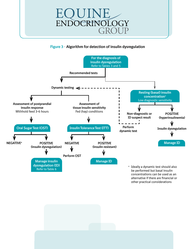

### **Figure 3 – Algorithm for detection of insulin dysregulation**



be performed but basal insulin concentrations can be used as an alternative if there are financial or other practical considerations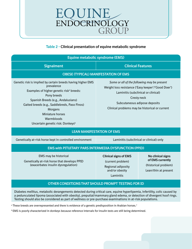### **Table 2 – Clinical presentation of equine metabolic syndrome**

| <b>Equine metabolic syndrome (EMS)</b>                                                                                                                                                                                                                                                                                               |                                                                                                                                                                                                                                            |                                       |  |  |
|--------------------------------------------------------------------------------------------------------------------------------------------------------------------------------------------------------------------------------------------------------------------------------------------------------------------------------------|--------------------------------------------------------------------------------------------------------------------------------------------------------------------------------------------------------------------------------------------|---------------------------------------|--|--|
| <b>Signalment</b>                                                                                                                                                                                                                                                                                                                    | <b>Clinical Features</b>                                                                                                                                                                                                                   |                                       |  |  |
| <b>OBESE (TYPICAL) MANIFESTATION OF EMS</b>                                                                                                                                                                                                                                                                                          |                                                                                                                                                                                                                                            |                                       |  |  |
| Genetic risk is implied by certain breeds having higher EMS<br>prevalence<br>Examples of higher genetic risk <sup>a</sup> breeds:<br>Pony breeds<br>Spanish Breeds (e.g., Andalusians)<br>Gaited breeds (e.g., Saddlebreds, Paso Finos)<br>Morgans<br>Miniature horses<br>Warmbloods<br>Uncertain genetic risk: Donkeys <sup>b</sup> | Some or all of the following may be present<br>Weight loss resistance ('Easy keeper'/'Good Doer')<br>Laminitis (subclinical or clinical)<br>Cresty neck<br>Subcutaneous adipose deposits<br>Clinical problems may be historical or current |                                       |  |  |
| <b>LEAN MANIFESTATION OF EMS</b>                                                                                                                                                                                                                                                                                                     |                                                                                                                                                                                                                                            |                                       |  |  |
| Genetically at-risk horse kept in controlled environment<br>Laminitis (subclinical or clinical) only                                                                                                                                                                                                                                 |                                                                                                                                                                                                                                            |                                       |  |  |
| <b>EMS with PITUITARY PARS INTERMEDIA DYSFUNCTION (PPID)</b>                                                                                                                                                                                                                                                                         |                                                                                                                                                                                                                                            |                                       |  |  |
| EMS may be historical<br>Genetically at-risk horse that develops PPID                                                                                                                                                                                                                                                                | <b>Clinical signs of EMS</b><br>(current problem)                                                                                                                                                                                          | No clinical signs<br>of EMS currently |  |  |

(exacerbates insulin dysregulation)

(current problem) Regional adiposity and/or obesity Laminitis

(historical problem) Lean/thin at present

### **OTHER CONDITIONS THAT SHOULD PROMPT TESTING FOR ID**

Diabetes mellitus, metabolic derangements detected during critical care, equine hyperlipemia, infertility, colic caused by a pedunculated lipoma (associated with obesity), preputial/mammary gland edema, or detection of divergent hoof rings. Testing should also be considered as part of wellness or pre-purchase examinations in at-risk populations.

<sup>a</sup> These breeds are overrepresented and there is evidence of a genetic predisposition in Arabian horses.<sup>7</sup>

<sup>b</sup> EMS is poorly characterized in donkeys because reference intervals for insulin tests are still being determined.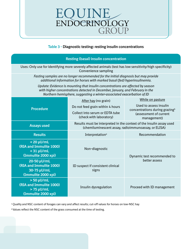### **Table 3 – Diagnostic testing: resting insulin concentrations**

### **Resting (basal) insulin concentration**

Uses: Only use for identifying more severely affected animals (test has low sensitivity/high specificity) Convenience sampling

*Fasting samples are no longer recommended for the initial diagnosis but may provide additional information for horses with marked basal (fed) hyperinsulinemia.*

*Update: Evidence is mounting that insulin concentrations are affected by season with higher concentrations detected in December, January, and February in the Northern hemisphere, suggesting a winter-associated exacerbation of ID*

|                                                                                      | After hay (no grain)                                                                                                         | While on pasture                                                                                              |  |
|--------------------------------------------------------------------------------------|------------------------------------------------------------------------------------------------------------------------------|---------------------------------------------------------------------------------------------------------------|--|
| <b>Procedure</b>                                                                     | Do not feed grain within 4 hours                                                                                             | Used to assess insulin<br>concentrations during grazing <sup>b</sup><br>(assessment of current<br>management) |  |
|                                                                                      | Collect into serum or EDTA tube<br>(check with laboratory)                                                                   |                                                                                                               |  |
| <b>Assays used</b>                                                                   | Results must be interpreted in the context of the insulin assay used<br>(chemiluminescent assay, radioimmunoassay, or ELISA) |                                                                                                               |  |
| <b>Results</b>                                                                       | Interpretation <sup>a</sup>                                                                                                  | Recommendation                                                                                                |  |
| $< 20 \mu$ U/mL<br>(RIA and Immulite 1000)<br>$<$ 31 µU/mL<br>(Immulite 2000 xpi)    | Non-diagnostic                                                                                                               | Dynamic test recommended to                                                                                   |  |
| $20-50 \mu U/mL$<br>(RIA and Immulite 1000)<br>30-75 µU/mL<br>(Immulite 2000 xpi)    | ID suspect if consistent clinical<br>signs                                                                                   | better assess                                                                                                 |  |
| $> 50 \mu$ U/mL<br>(RIA and Immulite 1000)<br>$> 75 \mu$ U/mL<br>(Immulite 2000 xpi) | Insulin dysregulation                                                                                                        | Proceed with ID management                                                                                    |  |

a Quality and NSC content of forages can vary and affect results; cut-off values for horses on low-NSC hay

**b** Values reflect the NSC content of the grass consumed at the time of testing.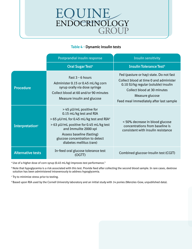### **Table 4 – Dynamic insulin tests**

|                             | Postprandial insulin response                                                                                                                                                                                                                                             | Insulin sensitivity                                                                                                                                                                                                    |
|-----------------------------|---------------------------------------------------------------------------------------------------------------------------------------------------------------------------------------------------------------------------------------------------------------------------|------------------------------------------------------------------------------------------------------------------------------------------------------------------------------------------------------------------------|
|                             | <b>Oral Sugar Test<sup>a</sup></b>                                                                                                                                                                                                                                        | <b>Insulin Tolerance Test<sup>b</sup></b>                                                                                                                                                                              |
| <b>Procedure</b>            | Fast 3 - 6 hours<br>Administer 0.15 or 0.45 mL/kg corn<br>syrup orally via dose syringe<br>Collect blood at 60 and/or 90 minutes<br>Measure insulin and glucose                                                                                                           | Fed (pasture or hay) state. Do not fast<br>Collect blood at time 0 and administer<br>0.10 IU/kg regular (soluble) insulin<br>Collect blood at 30 minutes<br>Measure glucose<br>Feed meal immediately after last sample |
| Interpretation <sup>c</sup> | > 45 µU/mL positive for<br>0.15 mL/kg test and RIA<br>> 65 µU/mL for 0.45 mL/kg test and RIA <sup>d</sup><br>> 63 μU/mL positive for 0.45 mL/kg test<br>and Immulite 2000 xpi<br>Assess baseline (fasting)<br>glucose concentration to detect<br>diabetes mellitus (rare) | < 50% decrease in blood glucose<br>concentrations from baseline is<br>consistent with insulin resistance                                                                                                               |
| <b>Alternative tests</b>    | In-feed oral glucose tolerance test<br>(OGTT)                                                                                                                                                                                                                             | Combined glucose-insulin test (CGIT)                                                                                                                                                                                   |

<sup>a</sup> Use of a higher dose of corn syrup (0.45 mL/kg) improves test performance.<sup>5</sup>

**b** Note that hypoglycemia is a risk associated with this test. Provide feed after collecting the second blood sample. In rare cases, dextrose solution has been administered intravenously to address hypoglycemia.

<sup>c</sup> Try to minimize stress prior to testing.

<sup>d</sup> Based upon RIA used by the Cornell University laboratory and an initial study with 14 ponies (Menzies-Gow, unpublished data).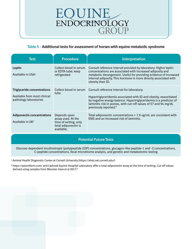### **Table 5 – Additional tests for assessment of horses with equine metabolic syndrome**

| Test                                                                                         | <b>Procedure</b>                                                                                  | <b>Interpretation</b>                                                                                                                                                                                                                                                                         |
|----------------------------------------------------------------------------------------------|---------------------------------------------------------------------------------------------------|-----------------------------------------------------------------------------------------------------------------------------------------------------------------------------------------------------------------------------------------------------------------------------------------------|
| Leptin<br>Available in USA <sup>a</sup>                                                      | Collect blood in serum<br>or EDTA tube; keep<br>refrigerated                                      | Consult reference interval provided by laboratory. Higher leptin<br>concentrations are associated with increased adiposity and<br>metabolic derangement. Useful for providing evidence of increased<br>internal adiposity. This hormone is more directly associated with<br>obesity than ID.  |
| <b>Triglyceride concentrations</b><br>Available from most clinical<br>pathology laboratories | Collect blood in serum<br>tube                                                                    | Consult reference interval for laboratory.<br>Hypertriglyceridemia associated with ID and obesity, exacerbated<br>by negative energy balance. Hypertriglyceridemia is a predictor of<br>laminitis risk in ponies, with cut-off values of 57 and 94 mg/dL<br>previously reported. <sup>8</sup> |
| <b>Adiponectin concentrations</b><br>Available in $UK^b$                                     | Depends upon<br>assay used. At the<br>time of writing, only<br>total adiponectin is<br>available. | Total adiponectin concentrations < 7.9 ug/mL are consistent with<br>EMS and an increased risk of laminitis.                                                                                                                                                                                   |

### **Potential Future Tests**

Glucose-dependent insulinotropic (poly)peptide (GIP) concentrations, glucagon-like peptide-1 and -2 concentrations, C-peptide concentrations, fecal microbiome analysis, and genetic and metabolomic testing

<sup>a</sup> Animal Health Diagnostic Center at Cornell University [\(https://ahdc.vet.cornell.edu/\)](https://ahdc.vet.cornell.edu/)

<sup>b</sup> <https://axiomfarm.com/>and Liphook Equine Hospital Laboratory offer a total adiponectin assay at the time of writing. Cut off values derived using samples from Menzies-Gow et al 2017.<sup>9</sup>

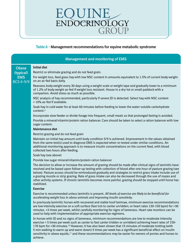### **Table 6 – Management recommendations for equine metabolic syndrome**

|                                             | <b>Management and monitoring of EMS</b>                                                                                                                                                                                                                                                                                                                                                                                                                                                                                                                                                      |
|---------------------------------------------|----------------------------------------------------------------------------------------------------------------------------------------------------------------------------------------------------------------------------------------------------------------------------------------------------------------------------------------------------------------------------------------------------------------------------------------------------------------------------------------------------------------------------------------------------------------------------------------------|
| <b>Obese</b>                                | <b>Initial diet</b><br>Restrict or eliminate grazing and do not feed grain.                                                                                                                                                                                                                                                                                                                                                                                                                                                                                                                  |
| (typical)<br><b>EMS</b><br><b>BCS 6-9/9</b> | For weight loss, feed grass hay with low NSC content in amounts equivalent to 1.5% of current body weight<br>on an as-fed basis daily.                                                                                                                                                                                                                                                                                                                                                                                                                                                       |
|                                             | Reassess body weight every 30 days using a weight scale or weight tape and gradually lower to a minimum<br>of 1.2% of body weight as-fed if weight loss resistant. House in a dry-lot or small paddock with a<br>companion. Avoid stress as much as possible.                                                                                                                                                                                                                                                                                                                                |
|                                             | NSC analysis of hay recommended, particularly if severe ID is detected. Select hay with NSC content<br>< 10% as-fed if available.                                                                                                                                                                                                                                                                                                                                                                                                                                                            |
|                                             | Soak hay in cold water for at least 60 minutes before feeding to lower the water-soluble carbohydrate<br>content. <sup>a</sup>                                                                                                                                                                                                                                                                                                                                                                                                                                                               |
|                                             | Incorporate slow feeder or divide forage into frequent, small meals so that prolonged fasting is avoided.                                                                                                                                                                                                                                                                                                                                                                                                                                                                                    |
|                                             | Provide a mineral/vitamin/protein ration balancer. Care should be taken to select a ration balancer with low<br>sugar content.                                                                                                                                                                                                                                                                                                                                                                                                                                                               |
|                                             | Maintenance diet                                                                                                                                                                                                                                                                                                                                                                                                                                                                                                                                                                             |
|                                             | Restrict grazing and do not feed grain                                                                                                                                                                                                                                                                                                                                                                                                                                                                                                                                                       |
|                                             | Maintain on initial hay amount until body condition 5/9 is achieved. Improvement in the values obtained<br>from the same test(s) used to diagnose EMS is expected when re-tested under similar conditions. An<br>additional monitoring approach is to measure insulin concentrations on the current feed, with blood<br>collected two hours after feeding.                                                                                                                                                                                                                                   |
|                                             | Soak hay (see above)                                                                                                                                                                                                                                                                                                                                                                                                                                                                                                                                                                         |
|                                             | Provide low sugar mineral/vitamin/protein ration balancer                                                                                                                                                                                                                                                                                                                                                                                                                                                                                                                                    |
|                                             | The decision to allow or increase the amount of grazing should be made after clinical signs of laminitis have<br>resolved and be based upon follow-up testing with collection of blood after one hour of pasture grazing (see<br>below). Pasture access should be reintroduced gradually and strategies to restrict grass intake include use of<br>a grazing muzzle or strip grazing. Rate of grass intake can also be decreased through the use of mazes and<br>other activity systems. If chronic laminitis becomes more painful, grazing should be stopped until horse has<br>stabilized. |
|                                             | <b>Exercise</b>                                                                                                                                                                                                                                                                                                                                                                                                                                                                                                                                                                              |
|                                             | Exercise is recommended unless laminitis is present. All levels of exercise are likely to be beneficial for<br>accelerating weight loss in obese animals and improving insulin sensitivity.                                                                                                                                                                                                                                                                                                                                                                                                  |
|                                             | In previously laminitic horses with recovered and stable hoof laminae, minimum exercise recommendations<br>are low intensity exercise on a soft surface (fast trot to canter unridden; or heart rates 130-150 bpm) for >30<br>minutes, >3 times per week, whilst carefully monitoring for signs of lameness. Heart rate monitors can be<br>used to help with implementation of appropriate exercise regimens.                                                                                                                                                                                |
|                                             | In horses with ID and no signs of lameness, minimum recommendations are low to moderate intensity<br>exercise > 5 times per week such as canter to fast canter (ridden or unridden) achieving heart rates of 150-<br>170 bpm for >30 minutes. <sup>10</sup> However, it has also been shown that 15 minutes of moderate trotting (with<br>5 min walking to warm up and warm down) 5 times per week has a significant beneficial effect on insulin<br>sensitivity in obese equids, <sup>11</sup> and these recommendations may be easier for owners of ponies and horses to<br>achieve.       |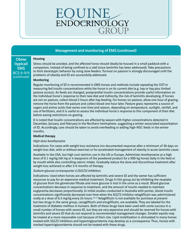### **Management and monitoring of EMS (continued)**

#### **Housing**

**Obese (typical) EMS** BCS 6-9/9 (continued)

Stress should be avoided, and the affected horse should ideally be housed in a small paddock with a companion, instead of being confined to a stall (once laminitis has been addressed). Take precautions to limit stereotypic behavior by using slow feeders. Turnout on pasture is strongly discouraged until the problems of obesity and ID are successfully addressed.

#### **Monitoring**

Regular monitoring of ID is recommended in EMS horses and methods include repeating the OST or measuring fed insulin concentrations while the horse is on its current diet (e.g. hay or hay plus limited pasture access). As feeds are changed, postprandial insulin concentrations provide useful information on the individual horse's response to their new diet and indirectly, the risk of laminitis developing. If horses are not on pasture, collect blood 2 hours after hay feeding. For horses on pasture, allow one hour of grazing, remove the horse from the pasture and collect blood one hour later. Pasture grass represents a source of sugars and amino acids that varies over time and season, depending on temperature, sunlight, rainfall, and use of fertilizers, and it is useful to assess the individual horse's response to this component of their diet before easing restrictions on grazing.

It is noted that insulin concentrations are affected by season with higher concentrations detected in December, January, and February in the Northern hemisphere, suggesting a winter-associated exacerbation of ID. Accordingly, care should be taken to avoid overfeeding or adding high-NSC feeds in the winter months.

#### **Medical therapy**

#### *High-dose levothyroxine*

Indications: For cases with weight loss resistance (no documented response after a minimum of 30 days on weight loss diet, with or without exercise) or for accelerated management of obesity in acute laminitis cases

Available in the USA, but high cost restricts use in the UK or Europe. Administer levothyroxine at a high dose of 0.1 mg/kg (48 mg or 4 teaspoons of the powdered product for a 500-kg horse) daily in the feed or by mouth while also controlling caloric intake. Gradually reduce the dose and discontinue treatment after weight loss achieved or after 3-6 months of therapy.

#### *Sodium-glucose co-transporter 2 (SGLT2) inhibitors*

Indications: Used when horses are affected by laminitis and severe ID and the owner has sufficient resources to pay for an expensive medical treatment. Drugs in this group act by inhibiting the reuptake of glucose from the glomerular filtrate and more glucose is lost in the urine as a result. Blood glucose concentrations decrease in response to treatment, and the amount of insulin needed to maintain euglycemia decreases proportionally. In initial studies conducted in Australia with ponies, blood insulin concentrations significantly decreased over time when the SGLT2 inhibitor velagliflozin was administered orally at a dose of 0.3 mg/kg every 24 hours.<sup>12,13</sup> Velagliflozin is not available for purchase at present but two drugs in the same group, canagliflozin and ertugliflozin, are available. They are labeled for the treatment of diabetes mellitus in humans. Both of these drugs have been used with some success in a small number of horses with severe ID, but they are very expensive and should be reserved for horses with laminitis and severe ID that do not respond to recommended management changes. Smaller equids may be treated at a more reasonable cost because of their size. Lipid mobilization is stimulated in many horses treated with SGLT2 inhibitors and hypertriglyceridemia may develop as a consequence. Thus, horses with marked hypertriglyceridemia should not be treated with these drugs.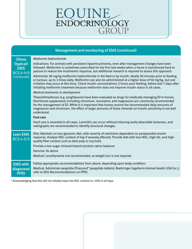| <b>Management and monitoring of EMS (continued)</b>                        |                                                                                                                                                                                                                                                                                                                                                                                                                                                                                                                                                                                                                                                                                                                                                                                                                                                                                                                                                                                                                                                                                                                                                                                                                                                                                                                                                                                                                                                                                     |  |  |  |  |
|----------------------------------------------------------------------------|-------------------------------------------------------------------------------------------------------------------------------------------------------------------------------------------------------------------------------------------------------------------------------------------------------------------------------------------------------------------------------------------------------------------------------------------------------------------------------------------------------------------------------------------------------------------------------------------------------------------------------------------------------------------------------------------------------------------------------------------------------------------------------------------------------------------------------------------------------------------------------------------------------------------------------------------------------------------------------------------------------------------------------------------------------------------------------------------------------------------------------------------------------------------------------------------------------------------------------------------------------------------------------------------------------------------------------------------------------------------------------------------------------------------------------------------------------------------------------------|--|--|--|--|
| <b>Obese</b><br>(typical)<br><b>EMS</b><br><b>BCS 6-9/9</b><br>(continued) | Metformin hydrochloride<br>Indications: For animals with persistent hyperinsulinemia, even after management changes have been<br>followed. Metformin is sometimes prescribed for the first two weeks when a horse is transitioned back to<br>pasture to reduce the insulinemic response, but additional research is required to assess this approach.<br>Administer 30 mg/kg metformin hydrochloride in the feed or by mouth, ideally 30 minutes prior to feeding<br>or turnout, up to 3 times daily. Metformin can also be administered at a higher dose of 50 mg/kg, but oral<br>irritation may occur at this dose. Check insulin concentrations 2 hours post-feeding, before and 7 days after<br>initiating metformin treatment because metformin does not improve insulin status in all cases.<br>Medical treatments in development<br>Thiazolidinediones (e.g. pioglitazone) have been evaluated as drugs for medically managing ID in horses.<br>Nutritional supplements including chromium, resveratrol, and magnesium are commonly recommended<br>for the management of ID. While it is important that horses receive the recommended daily amounts of<br>magnesium and chromium, the effect of larger amounts of these minerals on insulin sensitivity is not well<br>understood.<br>Foot care<br>Hoof care is essential in all cases. Laminitis can occur without inducing easily detectable lameness, and<br>radiographs are recommended to identify structural changes. |  |  |  |  |
| <b>Lean EMS</b><br><b>BCS 4-5/9</b>                                        | Diet: Maintain on low-glycemic diet, with severity of restriction dependent on postprandial insulin<br>response. Analyze NSC content of hay if severely affected. Provide diet with low-NSC, high-fat, and high-<br>quality fiber content such as beet pulp or soy hulls.<br>Provide a low-sugar mineral/vitamin/protein ration balancer<br>Exercise: As above<br>Medical: Levothyroxine not recommended, as weight loss is not required.                                                                                                                                                                                                                                                                                                                                                                                                                                                                                                                                                                                                                                                                                                                                                                                                                                                                                                                                                                                                                                           |  |  |  |  |
| <b>EMS with</b><br>diagnosed<br><b>PPID</b>                                | Follow appropriate recommendations from above, depending upon body condition.<br>Medical: Administer pergolide [Prascend® (pergolide tablets); Boehringer Ingelheim Animal Health USA Inc.);<br>refer to EEG Recommendations on PPID.                                                                                                                                                                                                                                                                                                                                                                                                                                                                                                                                                                                                                                                                                                                                                                                                                                                                                                                                                                                                                                                                                                                                                                                                                                               |  |  |  |  |

a Acknowledging that this will not reliably lower the NSC content to <10% in all hays.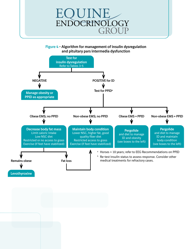

**Figure 4 – Algorithm for management of insulin dysregulation and pituitary pars intermedia dysfunction**

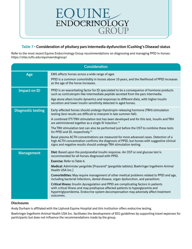

### **Table 7 – Consideration of pituitary pars intermedia dysfunction (Cushing's Disease) status**

Refer to the most recent Equine Endocrinology Group recommendations on diagnosing and managing PPID in horses: <https://sites.tufts.edu/equineendogroup/>

|                           | <b>Consideration</b>                                                                                                                                                                                                                                                                                                                                                                                                                                                                                                                                                                                                                                                                                                                                            |
|---------------------------|-----------------------------------------------------------------------------------------------------------------------------------------------------------------------------------------------------------------------------------------------------------------------------------------------------------------------------------------------------------------------------------------------------------------------------------------------------------------------------------------------------------------------------------------------------------------------------------------------------------------------------------------------------------------------------------------------------------------------------------------------------------------|
| Age                       | EMS affects horses across a wide range of ages<br>PPID is a common comorbidity in horses above 10 years, and the likelihood of PPID increases<br>as the age of the horse increases.                                                                                                                                                                                                                                                                                                                                                                                                                                                                                                                                                                             |
| <b>Impact on ID</b>       | PPID is an exacerbating factor for ID speculated to be a consequence of hormone products<br>such as corticotropin-like intermediate peptide secreted from the pars intermedia.<br>Age alone alters insulin dynamics and responses to different diets, with higher insulin<br>secretion and lower insulin sensitivity detected in aged horses.                                                                                                                                                                                                                                                                                                                                                                                                                   |
| <b>Diagnostic testing</b> | Early-affected horses should undergo thyrotropin-releasing hormone (TRH) stimulation<br>testing (test results are difficult to interpret in late summer-fall).<br>A combined ITT/TRH stimulation test has been developed and for this test, insulin and TRH<br>are administered together as a single IV injection. <sup>14</sup><br>The TRH stimulation test can also be performed just before the OST to combine these tests<br>for PPID and ID, respectively. <sup>15</sup><br>Basal plasma ACTH concentrations are measured for more advanced cases. Detection of a<br>high ACTH concentration confirms the diagnosis of PPID, but horses with suggestive clinical<br>signs and negative results should undergo TRH stimulation testing.                     |
| <b>Management</b>         | Diet: Based upon the postprandial insulin response. An OST or oral glucose test is<br>recommended for all horses diagnosed with PPID.<br><b>Exercise: Refer to Table 6.</b><br>Medical: Administer pergolide [Prascend® (pergolide tablets); Boehringer Ingelheim Animal<br>Health USA Inc.]<br>Comorbidities: May require management of other medical problems related to PPID and age,<br>including bacterial infections, dental disease, organ dysfunction, and parasitism.<br>Critical illness: Insulin dysregulation and PPID are complicating factors in patients<br>with critical illness and may predispose affected patients to hyperglycemia and<br>hypertriglyceridemia. Endocrine system decompensation may adversely affect treatment<br>outcomes. |

#### **Disclosures**

Andy Durham is affiliated with the Liphook Equine Hospital and this institution offers endocrine testing.

Boehringer Ingelheim Animal Health USA Inc. facilitates the development of EEG guidelines by supporting travel expenses for participants but does not influence the recommendations made by the group.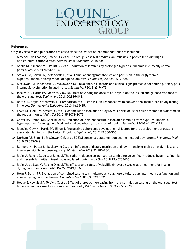### UINE ENDOCRINOLOGY GROUP

#### **References**

Only key articles and publications released since the last set of recommendations are included:

- 1. Meier AD, de Laat MA, Reiche DB, et al. The oral glucose test predicts laminitis risk in ponies fed a diet high in nonstructural carbohydrates. *Domest Anim Endocrinol* 2018;63:1-9.
- 2. Asplin KE, Sillence MN, Pollitt CC, et al. Induction of laminitis by prolonged hyperinsulinaemia in clinically normal ponies. *Vet J* 2007;174:530-535.
- 3. Stokes SM, Bertin FR, Stefanovski D, et al. Lamellar energy metabolism and perfusion in the euglycaemic hyperinsulinaemic clamp model of equine laminitis. *Equine Vet J* 2020;52:577-584.
- 4. McGowan TW, Pinchbeck GP, McGowan CM. Prevalence, risk factors and clinical signs predictive for equine pituitary pars intermedia dysfunction in aged horses. *Equine Vet J* 2013;45:74-79.
- 5. Jocelyn NA, Harris PA, Menzies-Gow NJ. Effect of varying the dose of corn syrup on the insulin and glucose response to the oral sugar test. *Equine Vet J* 2018;50:836-841.
- 6. Bertin FR, Sojka-Kritchevsky JE. Comparison of a 2-step insulin-response test to conventional insulin-sensitivity testing in horses. *Domest Anim Endocrinol* 2013;44:19-25.
- 7. Lewis SL, Holl HM, Streeter C, et al. Genomewide association study reveals a risk locus for equine metabolic syndrome in the Arabian horse. *J Anim Sci* 2017;95:1071-1079.
- 8. Carter RA, Treiber KH, Geor RJ, et al. Prediction of incipient pasture-associated laminitis from hyperinsulinaemia, hyperleptinaemia and generalised and localised obesity in a cohort of ponies. *Equine Vet J* 2009;41:171-178.
- 9. Menzies-Gow NJ, Harris PA, Elliott J. Prospective cohort study evaluating risk factors for the development of pastureassociated laminitis in the United Kingdom. *Equine Vet J* 2017;49:300-306.
- 10. Durham AE, Frank N, McGowan CM, et al. ECEIM consensus statement on equine metabolic syndrome. *J Vet Intern Med* 2019;33:335-349.
- 11. Bamford NJ, Potter SJ, Baskerville CL, et al. Influence of dietary restriction and low-intensity exercise on weight loss and insulin sensitivity in obese equids. *J Vet Intern Med* 2019;33:280-286.
- 12. Meier A, Reiche D, de Laat M, et al. The sodium-glucose co-transporter 2 inhibitor velagliflozin reduces hyperinsulinemia and prevents laminitis in insulin-dysregulated ponies. *PLoS One* 2018;13:e0203655.
- 13. Meier A, de Laat M, Reiche D, et al. The efficacy and safety of velagliflozin over 16 weeks as a treatment for insulin dysregulation in ponies. *BMC Vet Res* 2019;15:65.
- 14. Horn R, Bertin FR. Evaluation of combined testing to simultaneously diagnose pituitary pars intermedia dysfunction and insulin dysregulation in horses. *J Vet Intern Med* 2019;33:2249-2256.
- 15. Hodge E, Kowalski A, Torcivia C, et al. Effect of thyrotropin-releasing hormone stimulation testing on the oral sugar test in horses when performed as a combined protocol. *J Vet Intern Med* 2019;33:2272-2279.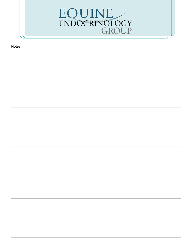

**Notes**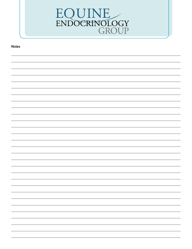

**Notes**